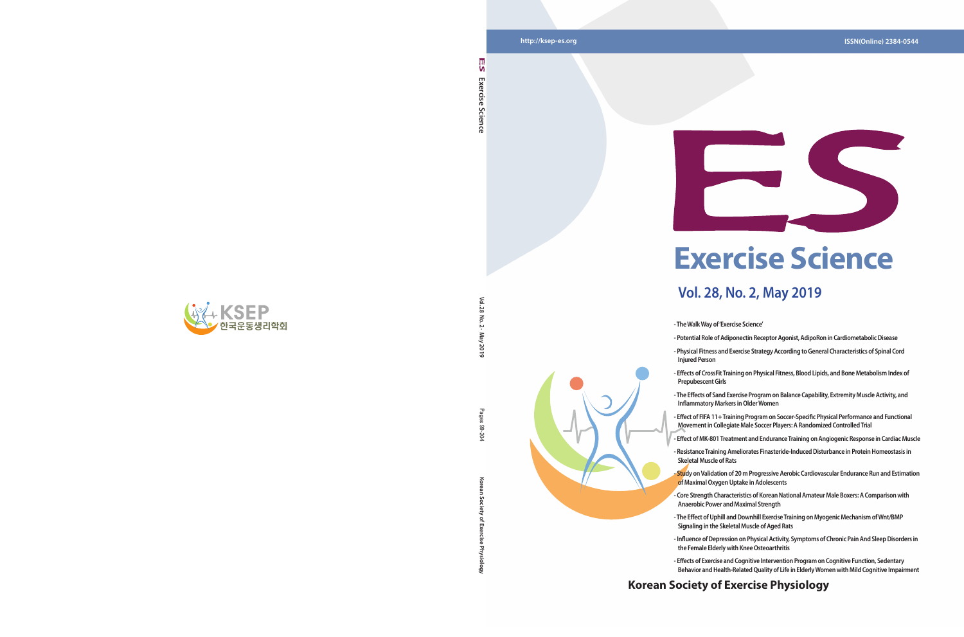**Korean Society of Exercise Physiology** Pages 99-204 ਨ

# **Korean Society of Exercise Physiology**





**Exercise Science** 

Science

Exercise

۱n

**Vol. 28 No. 2 · May 2019**  $\overline{5}$  $\sim$ May 2019

Pages

8 20

# **Exercise Science**

# **Vol. 28, No. 2, May 2019**

**- Physical Fitness and Exercise Strategy According to General Characteristics of Spinal Cord** 



- **The Walk Way of 'Exercise Science'**
- **Potential Role of Adiponectin Receptor Agonist, AdipoRon in Cardiometabolic Disease**
- **Injured Person**
- **Effects of CrossFit Training on Physical Fitness, Blood Lipids, and Bone Metabolism Index of Prepubescent Girls**
- **The Effects of Sand Exercise Program on Balance Capability, Extremity Muscle Activity, and Inflammatory Markers in Older Women**
- **Effect of FIFA 11+ Training Program on Soccer-Specific Physical Performance and Functional Movement in Collegiate Male Soccer Players: A Randomized Controlled Trial**
- **Effect of MK-801 Treatment and Endurance Training on Angiogenic Response in Cardiac Muscle**
- **Resistance Training Ameliorates Finasteride-Induced Disturbance in Protein Homeostasis in Skeletal Muscle of Rats**
- 
- **The Effect of Uphill and Downhill Exercise Training on Myogenic Mechanism of Wnt/BMP Signaling in the Skeletal Muscle of Aged Rats**
- **Influence of Depression on Physical Activity, Symptoms of Chronic Pain And Sleep Disorders in the Female Elderly with Knee Osteoarthritis**
- **Effects of Exercise and Cognitive Intervention Program on Cognitive Function, Sedentary Behavior and Health-Related Quality of Life in Elderly Women with Mild Cognitive Impairment**
- **Study on Validation of 20 m Progressive Aerobic Cardiovascular Endurance Run and Estimation of Maximal Oxygen Uptake in Adolescents**
- **Core Strength Characteristics of Korean National Amateur Male Boxers: A Comparison with Anaerobic Power and Maximal Strength**